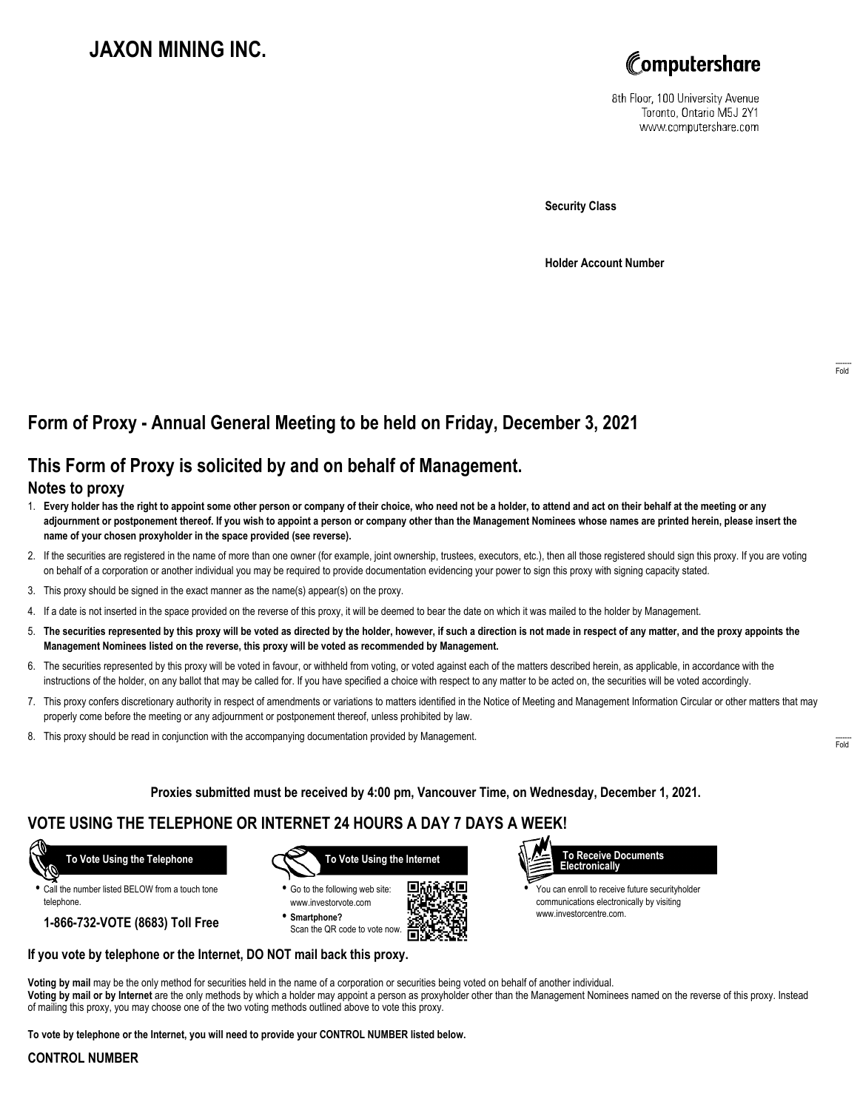# **JAXON MINING INC.**



8th Floor, 100 University Avenue Toronto, Ontario M5J 2Y1 www.computershare.com

**Security Class**

**Holder Account Number**

## **Form of Proxy - Annual General Meeting to be held on Friday, December 3, 2021**

## **This Form of Proxy is solicited by and on behalf of Management.**

### **Notes to proxy**

- 1. **Every holder has the right to appoint some other person or company of their choice, who need not be a holder, to attend and act on their behalf at the meeting or any adjournment or postponement thereof. If you wish to appoint a person or company other than the Management Nominees whose names are printed herein, please insert the name of your chosen proxyholder in the space provided (see reverse).**
- 2. If the securities are registered in the name of more than one owner (for example, joint ownership, trustees, executors, etc.), then all those registered should sign this proxy. If you are voting on behalf of a corporation or another individual you may be required to provide documentation evidencing your power to sign this proxy with signing capacity stated.
- 3. This proxy should be signed in the exact manner as the name(s) appear(s) on the proxy.
- 4. If a date is not inserted in the space provided on the reverse of this proxy, it will be deemed to bear the date on which it was mailed to the holder by Management.
- 5. **The securities represented by this proxy will be voted as directed by the holder, however, if such a direction is not made in respect of any matter, and the proxy appoints the Management Nominees listed on the reverse, this proxy will be voted as recommended by Management.**
- 6. The securities represented by this proxy will be voted in favour, or withheld from voting, or voted against each of the matters described herein, as applicable, in accordance with the instructions of the holder, on any ballot that may be called for. If you have specified a choice with respect to any matter to be acted on, the securities will be voted accordingly.
- 7. This proxy confers discretionary authority in respect of amendments or variations to matters identified in the Notice of Meeting and Management Information Circular or other matters that may properly come before the meeting or any adjournment or postponement thereof, unless prohibited by law.
- 8. This proxy should be read in conjunction with the accompanying documentation provided by Management.

**Proxies submitted must be received by 4:00 pm, Vancouver Time, on Wednesday, December 1, 2021.**

## **VOTE USING THE TELEPHONE OR INTERNET 24 HOURS A DAY 7 DAYS A WEEK!**

 **To Vote Using the Telephone**

**•** Call the number listed BELOW from a touch tone telephone.

**1-866-732-VOTE (8683) Toll Free**



**•** Go to the following web site: www.investorvote.com **• Smartphone?**

Scan the QR code to vote now.





**•** You can enroll to receive future securityholder communications electronically by visiting www.investorcentre.com.

#### **If you vote by telephone or the Internet, DO NOT mail back this proxy.**

**Voting by mail** may be the only method for securities held in the name of a corporation or securities being voted on behalf of another individual. **Voting by mail or by Internet** are the only methods by which a holder may appoint a person as proxyholder other than the Management Nominees named on the reverse of this proxy. Instead of mailing this proxy, you may choose one of the two voting methods outlined above to vote this proxy.

**To vote by telephone or the Internet, you will need to provide your CONTROL NUMBER listed below.**

#### **CONTROL NUMBER**